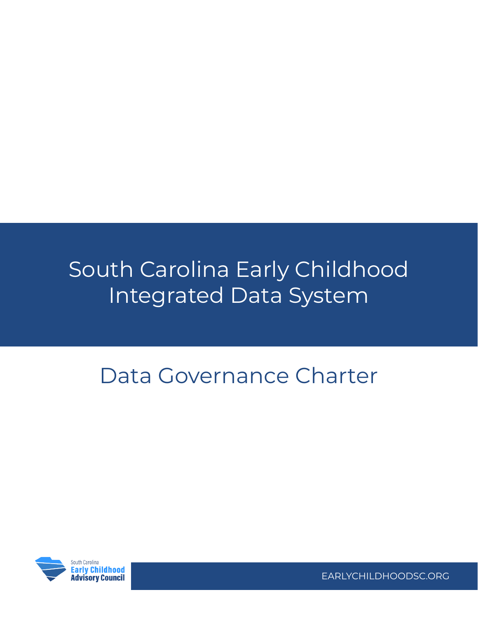# South Carolina Early Childhood Integrated Data System

# Data Governance Charter



EARLYCHILDHOODSC.ORG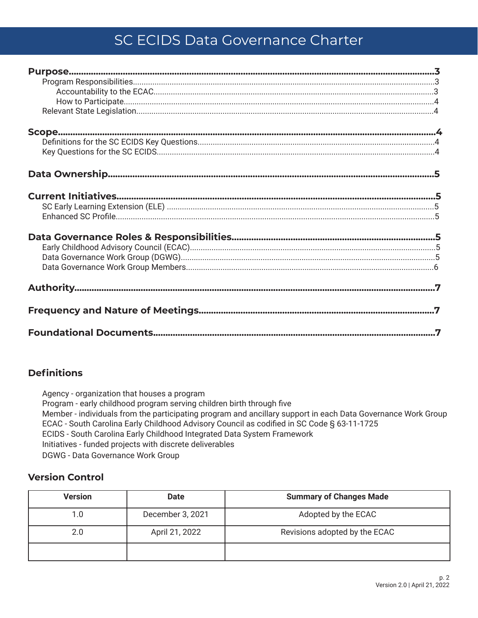# SC ECIDS Data Governance Charter

# **Definitions**

Agency - organization that houses a program Program - early childhood program serving children birth through five Member - individuals from the participating program and ancillary support in each Data Governance Work Group ECAC - South Carolina Early Childhood Advisory Council as codified in SC Code § 63-11-1725 ECIDS - South Carolina Early Childhood Integrated Data System Framework Initiatives - funded projects with discrete deliverables **DGWG** - Data Governance Work Group

# **Version Control**

| <b>Version</b> | <b>Date</b>      | <b>Summary of Changes Made</b> |
|----------------|------------------|--------------------------------|
| 1.0            | December 3, 2021 | Adopted by the ECAC            |
| 2.0            | April 21, 2022   | Revisions adopted by the ECAC  |
|                |                  |                                |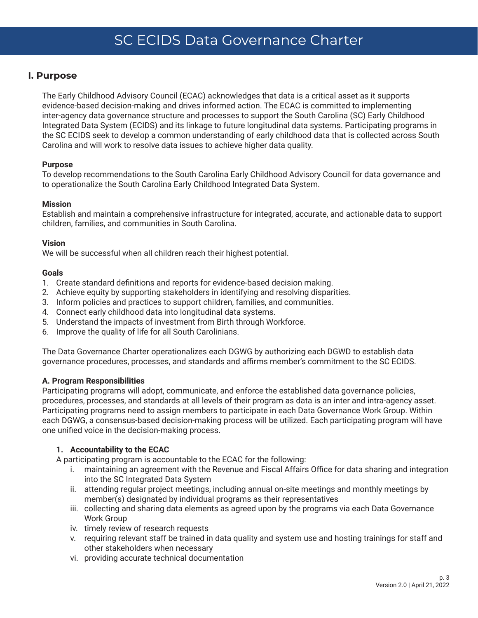# <span id="page-2-0"></span>**I. Purpose**

The Early Childhood Advisory Council (ECAC) acknowledges that data is a critical asset as it supports evidence-based decision-making and drives informed action. The ECAC is committed to implementing inter-agency data governance structure and processes to support the South Carolina (SC) Early Childhood Integrated Data System (ECIDS) and its linkage to future longitudinal data systems. Participating programs in the SC ECIDS seek to develop a common understanding of early childhood data that is collected across South Carolina and will work to resolve data issues to achieve higher data quality.

## **Purpose**

To develop recommendations to the South Carolina Early Childhood Advisory Council for data governance and to operationalize the South Carolina Early Childhood Integrated Data System.

#### **Mission**

Establish and maintain a comprehensive infrastructure for integrated, accurate, and actionable data to support children, families, and communities in South Carolina.

## **Vision**

We will be successful when all children reach their highest potential.

## **Goals**

- 1. Create standard definitions and reports for evidence-based decision making.
- 2. Achieve equity by supporting stakeholders in identifying and resolving disparities.
- 3. Inform policies and practices to support children, families, and communities.
- 4. Connect early childhood data into longitudinal data systems.
- 5. Understand the impacts of investment from Birth through Workforce.
- 6. Improve the quality of life for all South Carolinians.

The Data Governance Charter operationalizes each DGWG by authorizing each DGWD to establish data governance procedures, processes, and standards and affirms member's commitment to the SC ECIDS.

#### **A. Program Responsibilities**

Participating programs will adopt, communicate, and enforce the established data governance policies, procedures, processes, and standards at all levels of their program as data is an inter and intra-agency asset. Participating programs need to assign members to participate in each Data Governance Work Group. Within each DGWG, a consensus-based decision-making process will be utilized. Each participating program will have one unified voice in the decision-making process.

# **1. Accountability to the ECAC**

A participating program is accountable to the ECAC for the following:

- i. maintaining an agreement with the Revenue and Fiscal Affairs Office for data sharing and integration into the SC Integrated Data System
- ii. attending regular project meetings, including annual on-site meetings and monthly meetings by member(s) designated by individual programs as their representatives
- iii. collecting and sharing data elements as agreed upon by the programs via each Data Governance Work Group
- iv. timely review of research requests
- v. requiring relevant staff be trained in data quality and system use and hosting trainings for staff and other stakeholders when necessary
- vi. providing accurate technical documentation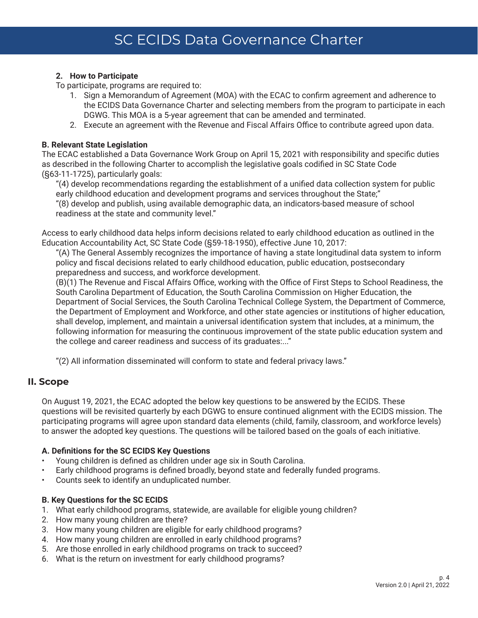# <span id="page-3-0"></span>**2. How to Participate**

To participate, programs are required to:

- 1. Sign a Memorandum of Agreement (MOA) with the ECAC to confirm agreement and adherence to the ECIDS Data Governance Charter and selecting members from the program to participate in each DGWG. This MOA is a 5-year agreement that can be amended and terminated.
- 2. Execute an agreement with the Revenue and Fiscal Affairs Office to contribute agreed upon data.

#### **B. Relevant State Legislation**

The ECAC established a Data Governance Work Group on April 15, 2021 with responsibility and specific duties as described in the following Charter to accomplish the legislative goals codified in SC State Code (§63-11-1725), particularly goals:

"(4) develop recommendations regarding the establishment of a unified data collection system for public early childhood education and development programs and services throughout the State;" "(8) develop and publish, using available demographic data, an indicators-based measure of school readiness at the state and community level."

Access to early childhood data helps inform decisions related to early childhood education as outlined in the Education Accountability Act, SC State Code (§59-18-1950), effective June 10, 2017:

"(A) The General Assembly recognizes the importance of having a state longitudinal data system to inform policy and fiscal decisions related to early childhood education, public education, postsecondary preparedness and success, and workforce development.

(B)(1) The Revenue and Fiscal Affairs Office, working with the Office of First Steps to School Readiness, the South Carolina Department of Education, the South Carolina Commission on Higher Education, the Department of Social Services, the South Carolina Technical College System, the Department of Commerce, the Department of Employment and Workforce, and other state agencies or institutions of higher education, shall develop, implement, and maintain a universal identification system that includes, at a minimum, the following information for measuring the continuous improvement of the state public education system and the college and career readiness and success of its graduates:..."

"(2) All information disseminated will conform to state and federal privacy laws."

# **II. Scope**

On August 19, 2021, the ECAC adopted the below key questions to be answered by the ECIDS. These questions will be revisited quarterly by each DGWG to ensure continued alignment with the ECIDS mission. The participating programs will agree upon standard data elements (child, family, classroom, and workforce levels) to answer the adopted key questions. The questions will be tailored based on the goals of each initiative.

#### **A. Definitions for the SC ECIDS Key Questions**

- Young children is defined as children under age six in South Carolina.
- Early childhood programs is defined broadly, beyond state and federally funded programs.
- Counts seek to identify an unduplicated number.

# **B. Key Questions for the SC ECIDS**

- 1. What early childhood programs, statewide, are available for eligible young children?
- 2. How many young children are there?
- 3. How many young children are eligible for early childhood programs?
- 4. How many young children are enrolled in early childhood programs?
- 5. Are those enrolled in early childhood programs on track to succeed?
- 6. What is the return on investment for early childhood programs?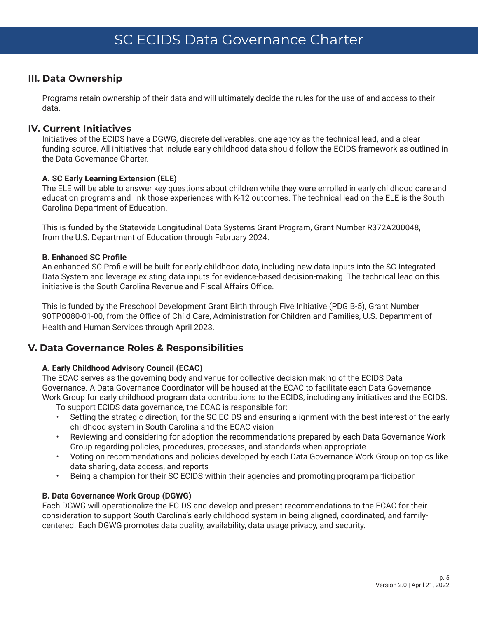# <span id="page-4-0"></span>**III. Data Ownership**

Programs retain ownership of their data and will ultimately decide the rules for the use of and access to their data.

# **IV. Current Initiatives**

Initiatives of the ECIDS have a DGWG, discrete deliverables, one agency as the technical lead, and a clear funding source. All initiatives that include early childhood data should follow the ECIDS framework as outlined in the Data Governance Charter.

# **A. SC Early Learning Extension (ELE)**

The ELE will be able to answer key questions about children while they were enrolled in early childhood care and education programs and link those experiences with K-12 outcomes. The technical lead on the ELE is the South Carolina Department of Education.

This is funded by the Statewide Longitudinal Data Systems Grant Program, Grant Number R372A200048, from the U.S. Department of Education through February 2024.

## **B. Enhanced SC Profile**

An enhanced SC Profile will be built for early childhood data, including new data inputs into the SC Integrated Data System and leverage existing data inputs for evidence-based decision-making. The technical lead on this initiative is the South Carolina Revenue and Fiscal Affairs Office.

This is funded by the Preschool Development Grant Birth through Five Initiative (PDG B-5), Grant Number 90TP0080-01-00, from the Office of Child Care, Administration for Children and Families, U.S. Department of Health and Human Services through April 2023.

# **V. Data Governance Roles & Responsibilities**

# **A. Early Childhood Advisory Council (ECAC)**

The ECAC serves as the governing body and venue for collective decision making of the ECIDS Data Governance. A Data Governance Coordinator will be housed at the ECAC to facilitate each Data Governance Work Group for early childhood program data contributions to the ECIDS, including any initiatives and the ECIDS.

To support ECIDS data governance, the ECAC is responsible for:

- Setting the strategic direction, for the SC ECIDS and ensuring alignment with the best interest of the early childhood system in South Carolina and the ECAC vision
- Reviewing and considering for adoption the recommendations prepared by each Data Governance Work Group regarding policies, procedures, processes, and standards when appropriate
- Voting on recommendations and policies developed by each Data Governance Work Group on topics like data sharing, data access, and reports
- Being a champion for their SC ECIDS within their agencies and promoting program participation

# **B. Data Governance Work Group (DGWG)**

Each DGWG will operationalize the ECIDS and develop and present recommendations to the ECAC for their consideration to support South Carolina's early childhood system in being aligned, coordinated, and familycentered. Each DGWG promotes data quality, availability, data usage privacy, and security.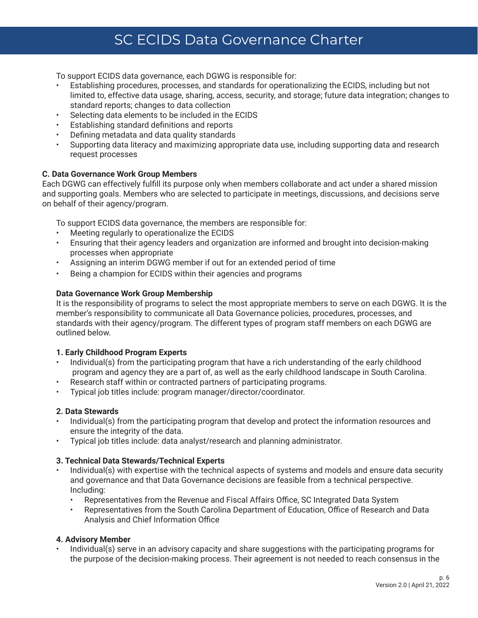# SC ECIDS Data Governance Charter

<span id="page-5-0"></span>To support ECIDS data governance, each DGWG is responsible for:

- Establishing procedures, processes, and standards for operationalizing the ECIDS, including but not limited to, effective data usage, sharing, access, security, and storage; future data integration; changes to standard reports; changes to data collection
- Selecting data elements to be included in the ECIDS
- Establishing standard definitions and reports
- Defining metadata and data quality standards
- Supporting data literacy and maximizing appropriate data use, including supporting data and research request processes

# **C. Data Governance Work Group Members**

Each DGWG can effectively fulfill its purpose only when members collaborate and act under a shared mission and supporting goals. Members who are selected to participate in meetings, discussions, and decisions serve on behalf of their agency/program.

To support ECIDS data governance, the members are responsible for:

- Meeting regularly to operationalize the ECIDS
- Ensuring that their agency leaders and organization are informed and brought into decision-making processes when appropriate
- Assigning an interim DGWG member if out for an extended period of time
- Being a champion for ECIDS within their agencies and programs

## **Data Governance Work Group Membership**

It is the responsibility of programs to select the most appropriate members to serve on each DGWG. It is the member's responsibility to communicate all Data Governance policies, procedures, processes, and standards with their agency/program. The different types of program staff members on each DGWG are outlined below.

# **1. Early Childhood Program Experts**

- Individual(s) from the participating program that have a rich understanding of the early childhood program and agency they are a part of, as well as the early childhood landscape in South Carolina.
- Research staff within or contracted partners of participating programs.
- Typical job titles include: program manager/director/coordinator.

#### **2. Data Stewards**

- Individual(s) from the participating program that develop and protect the information resources and ensure the integrity of the data.
- Typical job titles include: data analyst/research and planning administrator.

#### **3. Technical Data Stewards/Technical Experts**

- Individual(s) with expertise with the technical aspects of systems and models and ensure data security and governance and that Data Governance decisions are feasible from a technical perspective. Including:
	- Representatives from the Revenue and Fiscal Affairs Office, SC Integrated Data System
	- Representatives from the South Carolina Department of Education, Office of Research and Data Analysis and Chief Information Office

# **4. Advisory Member**

• Individual(s) serve in an advisory capacity and share suggestions with the participating programs for the purpose of the decision-making process. Their agreement is not needed to reach consensus in the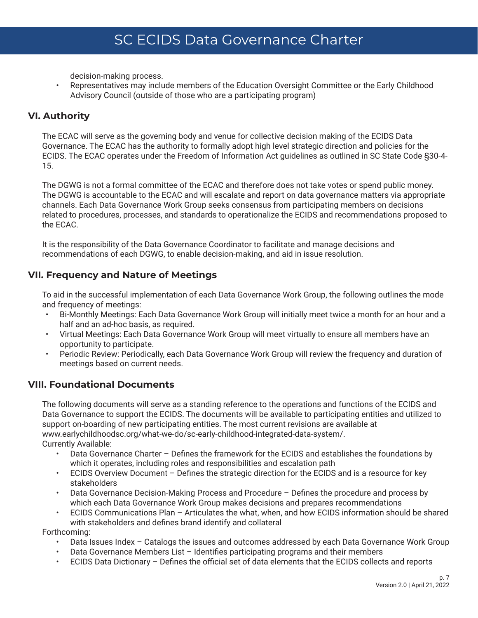<span id="page-6-0"></span>decision-making process.

• Representatives may include members of the Education Oversight Committee or the Early Childhood Advisory Council (outside of those who are a participating program)

# **VI. Authority**

The ECAC will serve as the governing body and venue for collective decision making of the ECIDS Data Governance. The ECAC has the authority to formally adopt high level strategic direction and policies for the ECIDS. The ECAC operates under the Freedom of Information Act guidelines as outlined in SC State Code §30-4- 15.

The DGWG is not a formal committee of the ECAC and therefore does not take votes or spend public money. The DGWG is accountable to the ECAC and will escalate and report on data governance matters via appropriate channels. Each Data Governance Work Group seeks consensus from participating members on decisions related to procedures, processes, and standards to operationalize the ECIDS and recommendations proposed to the ECAC.

It is the responsibility of the Data Governance Coordinator to facilitate and manage decisions and recommendations of each DGWG, to enable decision-making, and aid in issue resolution.

# **VII. Frequency and Nature of Meetings**

To aid in the successful implementation of each Data Governance Work Group, the following outlines the mode and frequency of meetings:

- Bi-Monthly Meetings: Each Data Governance Work Group will initially meet twice a month for an hour and a half and an ad-hoc basis, as required.
- Virtual Meetings: Each Data Governance Work Group will meet virtually to ensure all members have an opportunity to participate.
- Periodic Review: Periodically, each Data Governance Work Group will review the frequency and duration of meetings based on current needs.

# **VIII. Foundational Documents**

The following documents will serve as a standing reference to the operations and functions of the ECIDS and Data Governance to support the ECIDS. The documents will be available to participating entities and utilized to support on-boarding of new participating entities. The most current revisions are available at www.earlychildhoodsc.org/what-we-do/sc-early-childhood-integrated-data-system/. Currently Available:

- Data Governance Charter Defines the framework for the ECIDS and establishes the foundations by which it operates, including roles and responsibilities and escalation path
- ECIDS Overview Document Defines the strategic direction for the ECIDS and is a resource for key stakeholders
- Data Governance Decision-Making Process and Procedure Defines the procedure and process by which each Data Governance Work Group makes decisions and prepares recommendations
- ECIDS Communications Plan Articulates the what, when, and how ECIDS information should be shared with stakeholders and defines brand identify and collateral

Forthcoming:

- Data Issues Index Catalogs the issues and outcomes addressed by each Data Governance Work Group
- Data Governance Members List Identifies participating programs and their members
- ECIDS Data Dictionary Defines the official set of data elements that the ECIDS collects and reports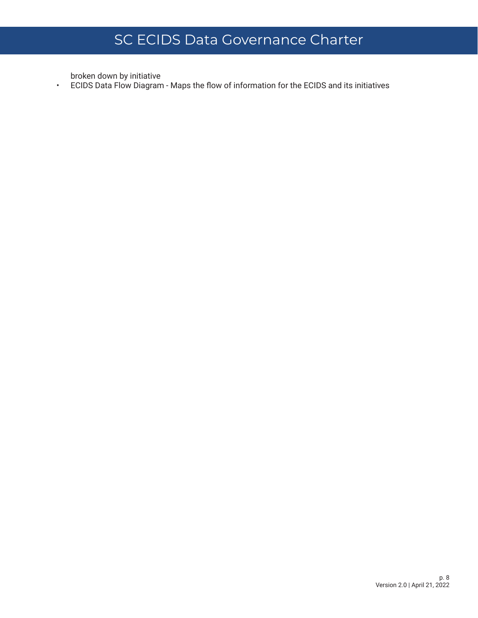broken down by initiative

• ECIDS Data Flow Diagram - Maps the flow of information for the ECIDS and its initiatives